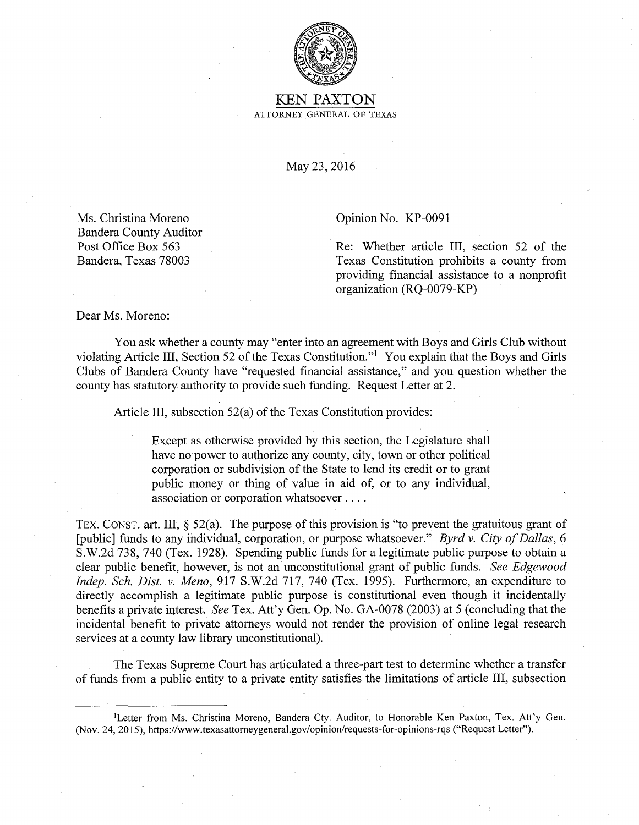

KEN PAXTON ATTORNEY GENERAL OF TEXAS

May 23, 2016

Ms. Christina Moreno Bandera County Auditor Post Office Box 563 Bandera, Texas 78003

Opinion No. KP-0091

Re: Whether article III, section 52 of the Texas Constitution prohibits a county from providing financial assistance to a nonprofit organization (RQ-0079-KP)

Dear Ms. Moreno:

You ask whether a county may "enter into an agreement with Boys and Girls Club without violating Article III, Section 52 of the Texas Constitution."1 You explain that the Boys and Girls Clubs of Bandera County have "requested financial assistance," and you question whether the county has statutory authority to provide such funding. Request Letter at 2.

Article III, subsection 52(a) of the Texas Constitution provides:

Except as otherwise provided by this section, the Legislature shall have no power to authorize any county, city, town or other political corporation or subdivision of the State to lend its credit or to grant public money or thing of value in aid of, or to any individual, association or corporation whatsoever ....

TEX. CONST. art. III,  $\S$  52(a). The purpose of this provision is "to prevent the gratuitous grant of [public] funds to any individual, corporation, or purpose whatsoever." *Byrd v. City of Dallas,* 6 S.W.2d 738, 740 (Tex. 1928). Spending public funds for a legitimate public purpose to obtain a clear public benefit, however, is not an· unconstitutional grant of public funds. *See Edgewood Indep. Sch. Dist. v. Meno,* 917 S.W.2d 717, 740 (Tex. 1995). Furthermore, an expenditure to directly accomplish a legitimate public purpose is constitutional even though it incidentally benefits a private interest *See* Tex. Att'y Gen. Op. No. GA-0078 (2003) at 5 (concluding that the incidental benefit to private attorneys would not render the provision of online legal research services at a county law library unconstitutional).

The Texas Supreme Court has articulated a three-part test to determine whether a transfer of funds from a public entity to a private entity satisfies the limitations of article III, subsection

<sup>1</sup>Letter from Ms. Christina Moreno, Bandera Cty. Auditor, to Honorable Ken Paxton, Tex. Att'y Gen. (Nov. 24, 2015), https://www.texasattomeygeneral.gov/opinion/requests-for-opinions-rqs ("Request Letter").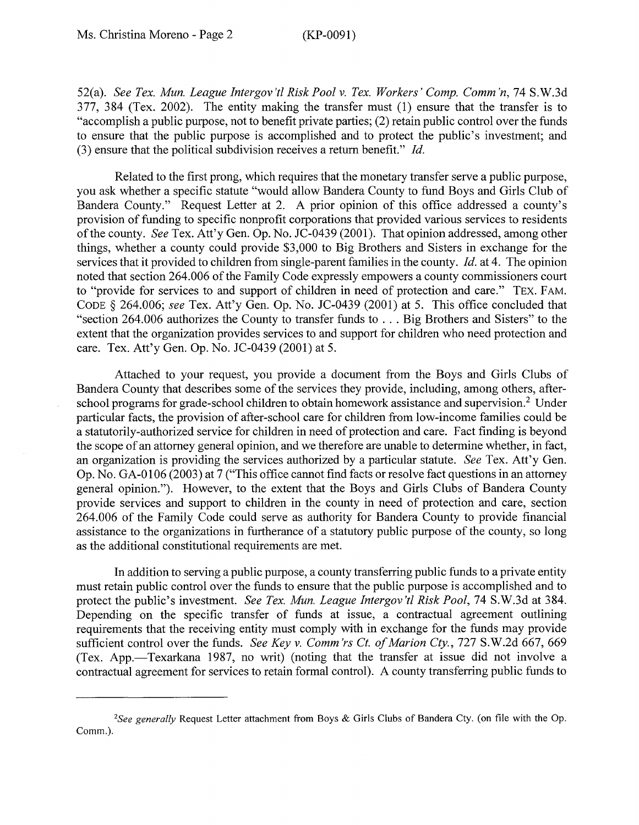52(a). *See Tex. Mun. League Intergov'tl Risk Pool v. Tex. Workers' Comp. Comm'n, 74 S.W.3d* 377, 384 (Tex. 2002). The entity making the transfer must (1) ensure that the transfer is to "accomplish a public purpose, not to benefit private parties; (2) retain public control over the funds to ensure that the public purpose is accomplished and to protect the public's investment; and (3) ensure that the political subdivision receives a return benefit." *Id.* 

Related to the first prong, which requires that the monetary transfer serve a public purpose, you ask whether a specific statute "would allow Bandera County to fund Boys and Girls Club of Bandera County." Request Letter at 2. A prior opinion of this office addressed a county's provision of funding to specific nonprofit corporations that provided various services to residents of the county. *See* Tex. Att'y Gen. Op. No. JC-0439 (2001). That opinion addressed, among other things, whether a county could provide \$3,000 to Big Brothers and Sisters in exchange for the services that it provided to children from single-parent families in the county. *Id.* at 4. The opinion noted that section 264.006 of the Family Code expressly empowers a county commissioners court to "provide for services to and support of children in need of protection and care." TEX. FAM. CODE § 264.006; *see* Tex. Att'y Gen. Op. No. JC-0439 (2001) at 5. This office concluded that "section 264.006 authorizes the County to transfer funds to ... Big Brothers and Sisters" to the extent that the organization provides services to and support for children who need protection and care. Tex. Att'y Gen. Op. No. JC-0439 (2001) at 5.

Attached to your request, you provide a document from the Boys and Girls Clubs of Bandera County that describes some of the services they provide, including, among others, afterschool programs for grade-school children to obtain homework assistance and supervision.<sup>2</sup> Under particular facts, the provision of after-school care for children from low-income families could be a statutorily-authorized service for children in need of protection and care. Fact finding is beyond the scope of an attorney general opinion, and we therefore are unable to determine whether, in fact, an organization is providing the services authorized by a particular statute. *See* Tex. Att'y Gen. Op. No. GA-0106 (2003) at 7 ("This office cannot find facts or resolve fact questions in an attorney general opinion."). However, to the extent that the Boys and Girls Clubs of Bandera County provide services and support to children in the county in need of protection and care, section 264.006 of the Family Code could serve as authority for Bandera County to provide financial assistance to the organizations in furtherance of a statutory public purpose of the county, so long as the additional constitutional requirements are met.

In addition to serving a public purpose, a county transferring public funds to a private entity must retain public control over the funds to ensure that the public purpose is accomplished and to protect the public's investment. *See Tex. Mun. League Intergov 'ti Risk Pool,* 74 S.W.3d at 384. Depending on the specific transfer of funds at issue, a contractual agreement outlining requirements that the receiving entity must comply with in exchange for the funds may provide sufficient control over the funds. *See Key v. Comm 'rs Ct. of Marion Cty.,* 727 S.W.2d 667, 669 (Tex. App.-Texarkana 1987, no writ) (noting that the transfer at issue did not involve a contractual agreement for services to retain formal control). A county transferring public funds to

*<sup>2</sup>See generally* Request Letter attachment from Boys & Girls Clubs of Bandera Cty. (on file with the Op. Comm.).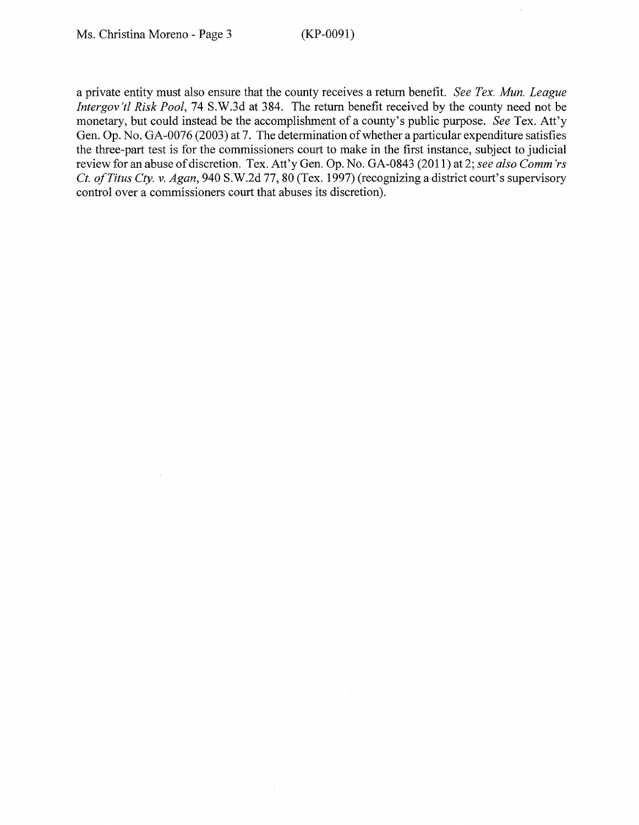a private entity must also ensure that the county receives a return benefit. *See Tex. Mun. League Intergov 'ti Risk Pool,* 74 S.W.3d at 384. The return benefit received by the county need not be monetary, but could instead be the accomplishment of a county's public purpose. *See* Tex. Att'y Gen. Op. No. GA-0076 (2003) at 7. The determination of whether a particular expenditure satisfies the three-part test is for the commissioners court to make in the first instance, subject to judicial review for an abuse of discretion. Tex. Att'y Gen. Op. No. GA-0843 (2011) at 2; *see also Comm 'rs Ct. of Titus Cty. v. Agan,* 940 S.W.2d 77, 80 (Tex. 1997) (recognizing a district court's supervisory control over a commissioners court that abuses its discretion).